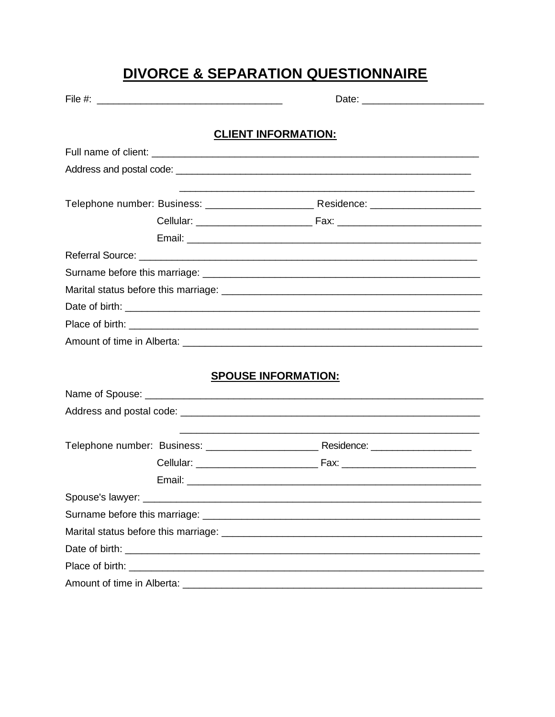# DIVORCE & SEPARATION QUESTIONNAIRE

| File #: $\frac{1}{2}$ $\frac{1}{2}$ $\frac{1}{2}$ $\frac{1}{2}$ $\frac{1}{2}$ $\frac{1}{2}$ $\frac{1}{2}$ $\frac{1}{2}$ $\frac{1}{2}$ $\frac{1}{2}$ $\frac{1}{2}$ $\frac{1}{2}$ $\frac{1}{2}$ $\frac{1}{2}$ $\frac{1}{2}$ $\frac{1}{2}$ $\frac{1}{2}$ $\frac{1}{2}$ $\frac{1}{2}$ $\frac{1}{2}$ $\frac{1}{2}$ $\frac$ |                            |  |
|-----------------------------------------------------------------------------------------------------------------------------------------------------------------------------------------------------------------------------------------------------------------------------------------------------------------------|----------------------------|--|
|                                                                                                                                                                                                                                                                                                                       | <b>CLIENT INFORMATION:</b> |  |
|                                                                                                                                                                                                                                                                                                                       |                            |  |
|                                                                                                                                                                                                                                                                                                                       |                            |  |
|                                                                                                                                                                                                                                                                                                                       |                            |  |
|                                                                                                                                                                                                                                                                                                                       |                            |  |
|                                                                                                                                                                                                                                                                                                                       |                            |  |
|                                                                                                                                                                                                                                                                                                                       |                            |  |
|                                                                                                                                                                                                                                                                                                                       |                            |  |
|                                                                                                                                                                                                                                                                                                                       |                            |  |
|                                                                                                                                                                                                                                                                                                                       |                            |  |
|                                                                                                                                                                                                                                                                                                                       |                            |  |
|                                                                                                                                                                                                                                                                                                                       |                            |  |
|                                                                                                                                                                                                                                                                                                                       |                            |  |
|                                                                                                                                                                                                                                                                                                                       |                            |  |
|                                                                                                                                                                                                                                                                                                                       | <b>SPOUSE INFORMATION:</b> |  |
|                                                                                                                                                                                                                                                                                                                       |                            |  |
|                                                                                                                                                                                                                                                                                                                       |                            |  |
|                                                                                                                                                                                                                                                                                                                       |                            |  |
|                                                                                                                                                                                                                                                                                                                       |                            |  |
|                                                                                                                                                                                                                                                                                                                       |                            |  |
|                                                                                                                                                                                                                                                                                                                       |                            |  |
|                                                                                                                                                                                                                                                                                                                       |                            |  |
|                                                                                                                                                                                                                                                                                                                       |                            |  |
|                                                                                                                                                                                                                                                                                                                       |                            |  |
|                                                                                                                                                                                                                                                                                                                       |                            |  |
|                                                                                                                                                                                                                                                                                                                       |                            |  |
|                                                                                                                                                                                                                                                                                                                       |                            |  |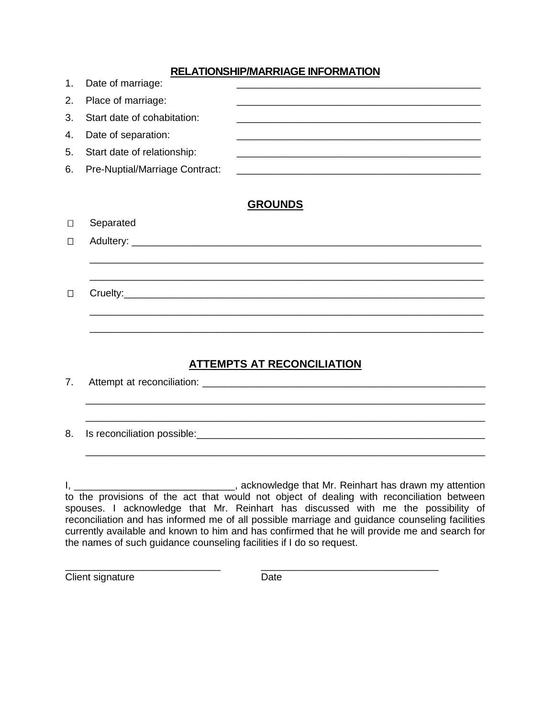## **RELATIONSHIP/MARRIAGE INFORMATION**

| 1. | Date of marriage:              |         |
|----|--------------------------------|---------|
| 2. | Place of marriage:             |         |
| 3. | Start date of cohabitation:    |         |
| 4. | Date of separation:            |         |
| 5. | Start date of relationship:    |         |
| 6. | Pre-Nuptial/Marriage Contract: |         |
|    |                                |         |
|    |                                | CRUINNS |

# **GROUNDS**

| $\Box$ |  |  |  |  |
|--------|--|--|--|--|
|        |  |  |  |  |

# **ATTEMPTS AT RECONCILIATION**

| 7. |                                                                                                                                                                                                                                      |
|----|--------------------------------------------------------------------------------------------------------------------------------------------------------------------------------------------------------------------------------------|
| 8. |                                                                                                                                                                                                                                      |
|    |                                                                                                                                                                                                                                      |
|    | acknowledge that Mr. Reinhart has drawn my attention (2008), acknowledge that Mr. Reinhart has drawn my attention<br>the contract of the contract of the contract of the contract of the contract of the contract of the contract of |

to the provisions of the act that would not object of dealing with reconciliation between spouses. I acknowledge that Mr. Reinhart has discussed with me the possibility of reconciliation and has informed me of all possible marriage and guidance counseling facilities currently available and known to him and has confirmed that he will provide me and search for the names of such guidance counseling facilities if I do so request.

\_\_\_\_\_\_\_\_\_\_\_\_\_\_\_\_\_\_\_\_\_\_\_\_\_\_\_\_ \_\_\_\_\_\_\_\_\_\_\_\_\_\_\_\_\_\_\_\_\_\_\_\_\_\_\_\_\_\_\_\_ Client signature Date

Separated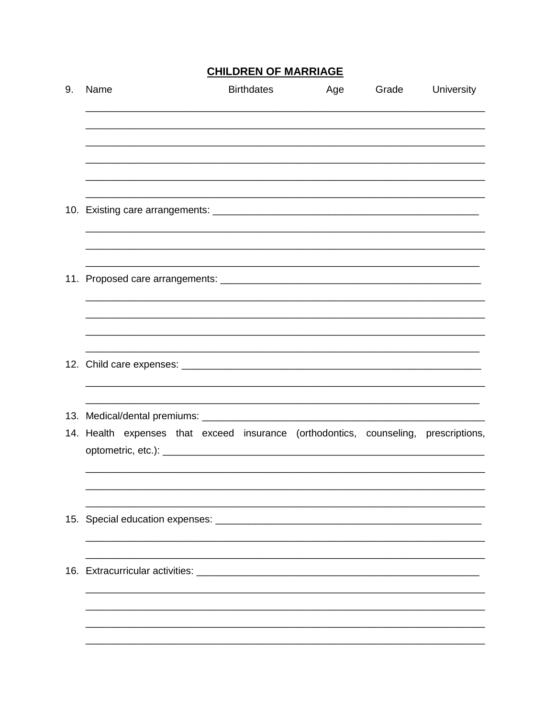# **CHILDREN OF MARRIAGE**

| 9. | Name                                                                                | <b>Birthdates</b> | Age | Grade | University |
|----|-------------------------------------------------------------------------------------|-------------------|-----|-------|------------|
|    |                                                                                     |                   |     |       |            |
|    |                                                                                     |                   |     |       |            |
|    |                                                                                     |                   |     |       |            |
|    |                                                                                     |                   |     |       |            |
|    |                                                                                     |                   |     |       |            |
|    |                                                                                     |                   |     |       |            |
|    |                                                                                     |                   |     |       |            |
|    |                                                                                     |                   |     |       |            |
|    |                                                                                     |                   |     |       |            |
|    |                                                                                     |                   |     |       |            |
|    |                                                                                     |                   |     |       |            |
|    |                                                                                     |                   |     |       |            |
|    | 14. Health expenses that exceed insurance (orthodontics, counseling, prescriptions, |                   |     |       |            |
|    |                                                                                     |                   |     |       |            |
|    |                                                                                     |                   |     |       |            |
|    |                                                                                     |                   |     |       |            |
|    |                                                                                     |                   |     |       |            |
|    |                                                                                     |                   |     |       |            |
|    |                                                                                     |                   |     |       |            |
|    |                                                                                     |                   |     |       |            |
|    |                                                                                     |                   |     |       |            |
|    |                                                                                     |                   |     |       |            |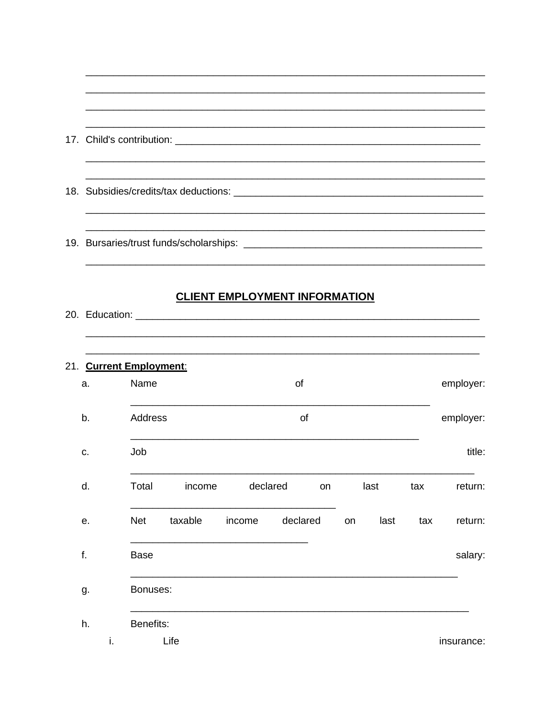|                               |             |              |          | <b>CLIENT EMPLOYMENT INFORMATION</b> |    |      |     |           |
|-------------------------------|-------------|--------------|----------|--------------------------------------|----|------|-----|-----------|
| 21. Current Employment:<br>a. | Name        |              |          | of                                   |    |      |     | employer: |
| b.                            | Address     |              |          | of                                   |    |      |     | employer: |
| c.                            | Job         |              |          |                                      |    |      |     | title:    |
| d.                            |             | Total income | declared | <b>ON</b>                            |    | last | tax | return:   |
| е.                            | Net         | taxable      | income   | declared                             | on | last | tax | return:   |
| f.                            | <b>Base</b> |              |          |                                      |    |      |     | salary:   |
| g.                            | Bonuses:    |              |          |                                      |    |      |     |           |
| h.                            | Benefits:   |              |          |                                      |    |      |     |           |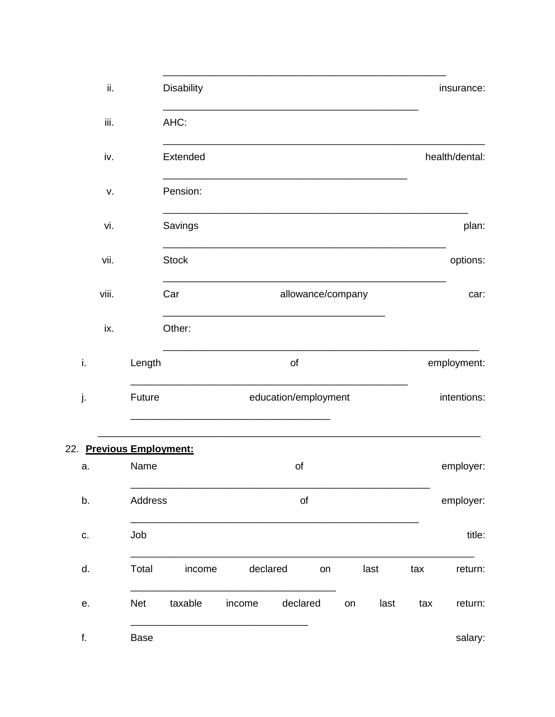| insurance:     |      |      |    |                      |          | Disability   |             | ii.                      |  |
|----------------|------|------|----|----------------------|----------|--------------|-------------|--------------------------|--|
|                |      |      |    |                      |          | AHC:         |             | iii.                     |  |
| health/dental: |      |      |    |                      |          | Extended     |             | iv.                      |  |
|                |      |      |    |                      |          | Pension:     |             | V.                       |  |
| plan:          |      |      |    |                      |          | Savings      |             | vi.                      |  |
| options:       |      |      |    |                      |          | <b>Stock</b> |             | vii.                     |  |
| car:           |      |      |    | allowance/company    |          | Car          |             | viii.                    |  |
|                |      |      |    |                      |          | Other:       |             | ix.                      |  |
| employment:    |      |      |    | of                   |          |              | Length      | i.                       |  |
| intentions:    |      |      |    | education/employment |          |              | Future      | j.                       |  |
|                |      |      |    |                      |          |              |             | 22. Previous Employment: |  |
| employer:      |      |      |    | of                   |          |              | Name        | a.                       |  |
| employer:      |      |      |    | of                   |          |              | Address     | b.                       |  |
| title:         |      |      |    |                      |          |              | Job         | C.                       |  |
| tax<br>return: |      | last | on |                      | declared | income       | Total       | d.                       |  |
| tax<br>return: | last | on   |    | declared             | income   | taxable      | <b>Net</b>  | е.                       |  |
| salary:        |      |      |    |                      |          |              | <b>Base</b> | f.                       |  |

 $22.$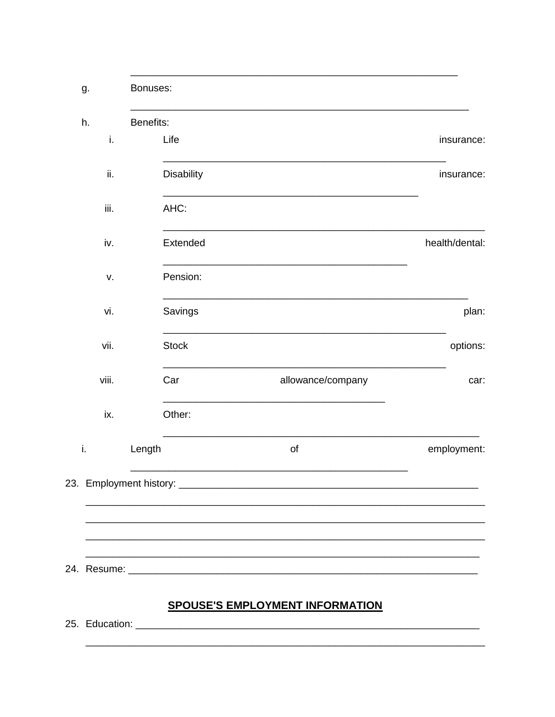| g.             | Bonuses:     |                                        |                |
|----------------|--------------|----------------------------------------|----------------|
| h.             | Benefits:    |                                        |                |
| i.             | Life         |                                        | insurance:     |
| ii.            | Disability   |                                        | insurance:     |
| iii.           | AHC:         |                                        |                |
| iv.            | Extended     |                                        | health/dental: |
| v.             | Pension:     |                                        |                |
| vi.            | Savings      |                                        | plan:          |
| vii.           | <b>Stock</b> |                                        | options:       |
| viii.          | Car          | allowance/company                      | car:           |
| ix.            | Other:       |                                        |                |
| i.             | Length       | of                                     | employment:    |
|                |              |                                        |                |
|                |              |                                        |                |
|                |              |                                        |                |
|                |              | <b>SPOUSE'S EMPLOYMENT INFORMATION</b> |                |
| 25. Education: |              |                                        |                |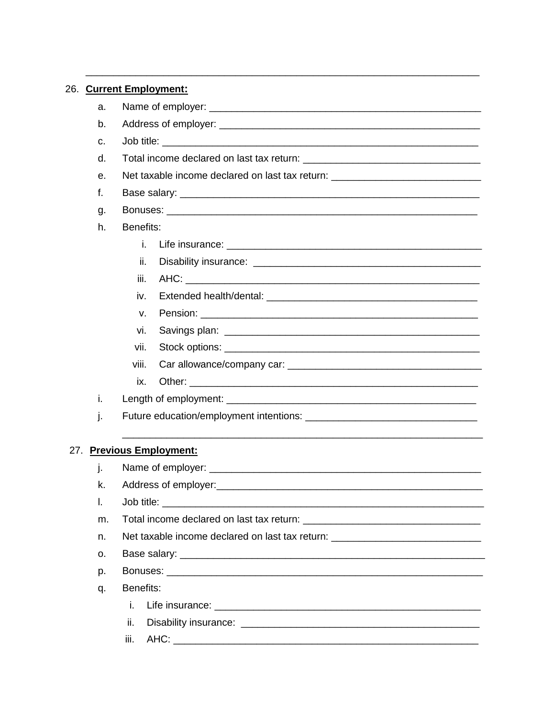#### 26. Current Employment: a.  $b<sub>1</sub>$  $C_{\rm L}$ Job title: The state of the state of the state of the state of the state of the state of the state of the state of the state of the state of the state of the state of the state of the state of the state of the state of the  $d_{\cdot}$ Net taxable income declared on last tax return: \_\_\_\_\_\_\_\_\_\_\_\_\_\_\_\_\_\_\_\_\_\_\_\_\_\_\_\_\_\_\_\_ е.  $f_{\tau}$ Bonuses: g. h. Benefits: i. Life insurance: the contract of the contract of the contract of the contract of the contract of the contract of the contract of the contract of the contract of the contract of the contract of the contract of the contract o ii. iii. AHC: \_\_\_\_\_\_\_\_\_\_\_\_\_ iv. V. **Pension:** Pension: vi. vii. viii. Car allowance/company car: example of the state of the state of the state of the state of the state of the state of the state of the state of the state of the state of the state of the state of the state of the state of th Other: when the contract of the contract of the contract of the contract of the contract of the contract of the contract of the contract of the contract of the contract of the contract of the contract of the contract of th ix. i. j. 27. Previous Employment: j. k. Address of employer: Address of employer: Job title: The contract of the contract of the contract of the contract of the contract of the contract of the  $\mathbf{L}$ m. n. Net taxable income declared on last tax return: \_\_\_\_\_\_\_\_\_\_\_\_ 0. Base salary: The contract of the contract of the contract of the contract of the contract of the contract of the contract of the contract of the contract of the contract of the contract of the contract of the contract of t p. Benefits: q. i. ii. iii. AHC: AHC: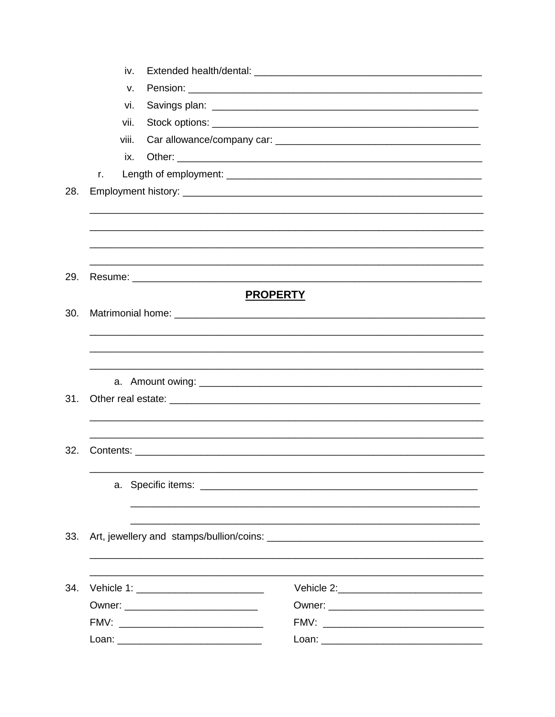| iv.   |                 |  |
|-------|-----------------|--|
| v.    |                 |  |
| vi.   |                 |  |
| vii.  |                 |  |
| viii. |                 |  |
| ix.   |                 |  |
| r.    |                 |  |
|       |                 |  |
|       |                 |  |
|       |                 |  |
|       |                 |  |
|       |                 |  |
|       |                 |  |
|       | <b>PROPERTY</b> |  |
|       |                 |  |
|       |                 |  |
|       |                 |  |
|       |                 |  |
|       |                 |  |
|       |                 |  |
|       |                 |  |
|       |                 |  |
|       |                 |  |
|       |                 |  |
|       |                 |  |
|       |                 |  |
|       |                 |  |
|       |                 |  |
|       |                 |  |
|       |                 |  |
|       |                 |  |
|       |                 |  |
|       |                 |  |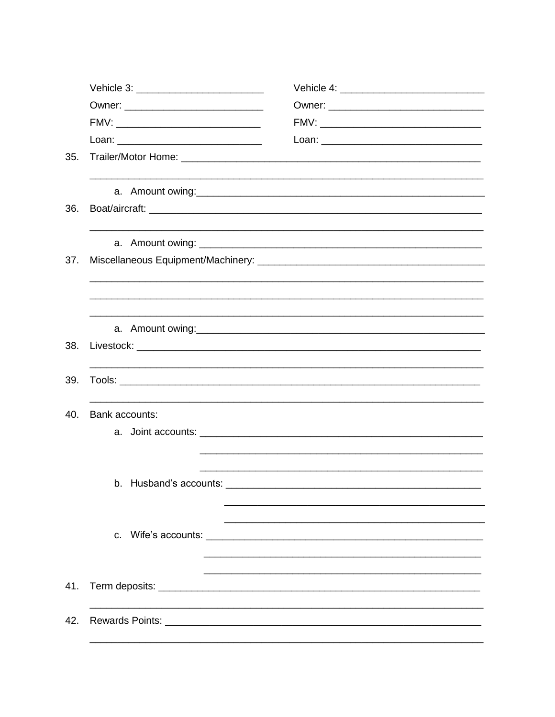| 35.                   |                        |                                                                                                                |  |  |  |
|-----------------------|------------------------|----------------------------------------------------------------------------------------------------------------|--|--|--|
|                       |                        | a. Amount owing: example and a series of the series of the series of the series of the series of the series of |  |  |  |
| 36.                   |                        |                                                                                                                |  |  |  |
|                       |                        |                                                                                                                |  |  |  |
| 37.                   |                        |                                                                                                                |  |  |  |
|                       |                        | ,我们的人们就会在这里的人们,我们的人们就会在这里的人们,我们也不会在这里的人们,我们也不会在这里的人们,我们也不会在这里的人们,我们也不会在这里的人们,我们也                               |  |  |  |
|                       |                        |                                                                                                                |  |  |  |
| 38.                   |                        |                                                                                                                |  |  |  |
| 39.                   |                        |                                                                                                                |  |  |  |
| 40.<br>Bank accounts: |                        |                                                                                                                |  |  |  |
|                       |                        |                                                                                                                |  |  |  |
|                       |                        |                                                                                                                |  |  |  |
|                       | b. Husband's accounts: |                                                                                                                |  |  |  |
|                       |                        |                                                                                                                |  |  |  |
|                       |                        |                                                                                                                |  |  |  |
| 41.                   |                        |                                                                                                                |  |  |  |
| 42.                   |                        |                                                                                                                |  |  |  |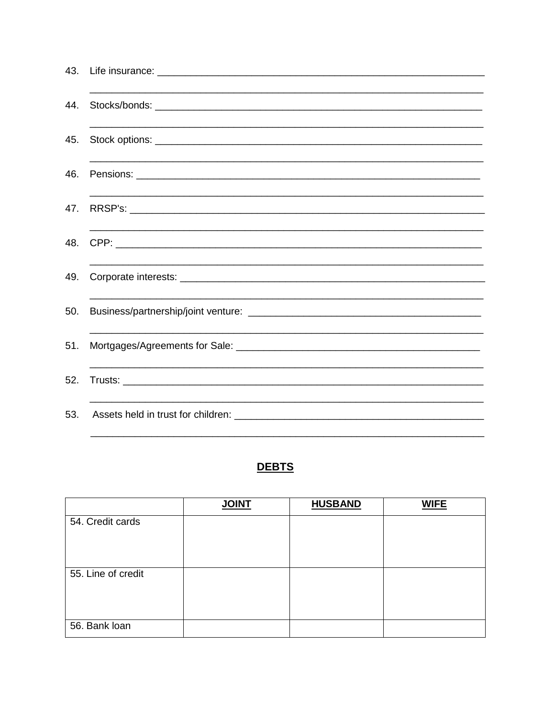| 43. |  |
|-----|--|
| 44. |  |
| 45. |  |
| 46. |  |
| 47. |  |
| 48. |  |
| 49. |  |
| 50. |  |
| 51. |  |
| 52. |  |
| 53. |  |

# **DEBTS**

|                    | <b>JOINT</b> | <b>HUSBAND</b> | <b>WIFE</b> |
|--------------------|--------------|----------------|-------------|
| 54. Credit cards   |              |                |             |
| 55. Line of credit |              |                |             |
| 56. Bank loan      |              |                |             |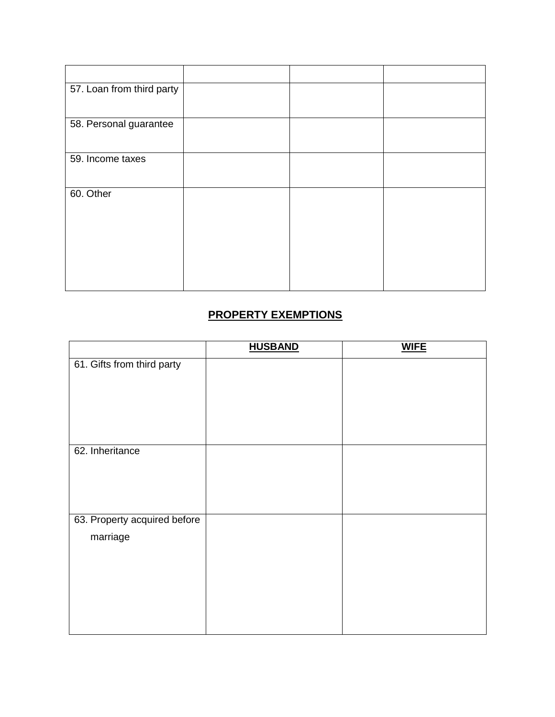| 57. Loan from third party |  |  |
|---------------------------|--|--|
| 58. Personal guarantee    |  |  |
| 59. Income taxes          |  |  |
| 60. Other                 |  |  |

# **PROPERTY EXEMPTIONS**

|                              | <b>HUSBAND</b> | <b>WIFE</b> |
|------------------------------|----------------|-------------|
| 61. Gifts from third party   |                |             |
|                              |                |             |
| 62. Inheritance              |                |             |
|                              |                |             |
| 63. Property acquired before |                |             |
| marriage                     |                |             |
|                              |                |             |
|                              |                |             |
|                              |                |             |
|                              |                |             |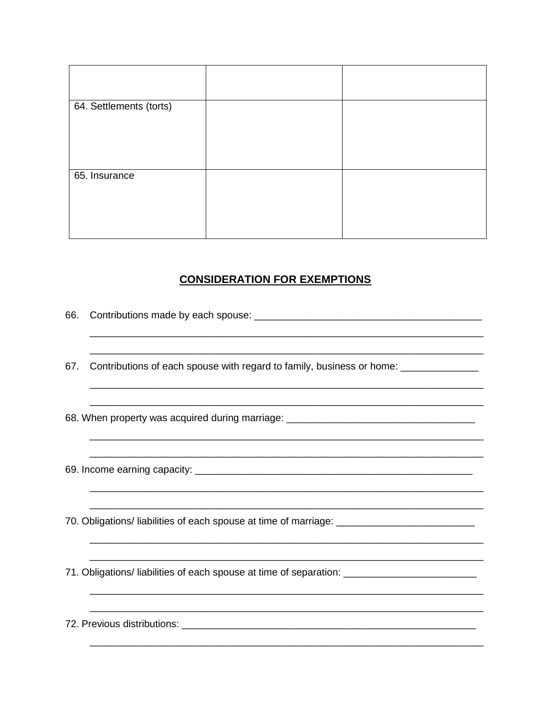| 64. Settlements (torts) |  |
|-------------------------|--|
|                         |  |
| 65. Insurance           |  |

# **CONSIDERATION FOR EXEMPTIONS**

| 66. |                                                                                                     |
|-----|-----------------------------------------------------------------------------------------------------|
| 67. | Contributions of each spouse with regard to family, business or home: ___________                   |
|     | 68. When property was acquired during marriage: ________________________________                    |
|     |                                                                                                     |
|     | 70. Obligations/ liabilities of each spouse at time of marriage: __________________________________ |
|     | 71. Obligations/ liabilities of each spouse at time of separation: ________________________________ |
|     |                                                                                                     |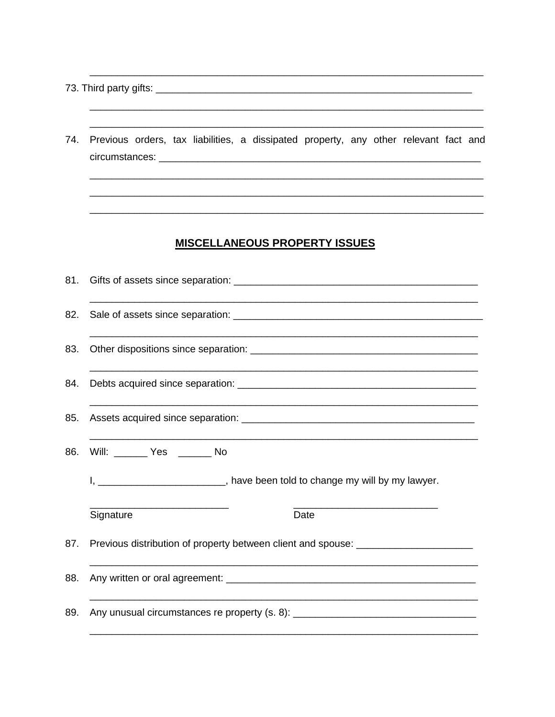- 
- 74. Previous orders, tax liabilities, a dissipated property, any other relevant fact and

<u> 1980 - Jan James James James James James James James James James James James James James James James James J</u> <u> 1989 - Johann John Stone, mars eta biztanleria (</u>

#### **MISCELLANEOUS PROPERTY ISSUES**

| 81. |                                                                                  |  |  |
|-----|----------------------------------------------------------------------------------|--|--|
| 82. |                                                                                  |  |  |
| 83. |                                                                                  |  |  |
| 84. |                                                                                  |  |  |
| 85. |                                                                                  |  |  |
| 86. | Will: _______ Yes ______ No                                                      |  |  |
|     | I, ____________________________, have been told to change my will by my lawyer.  |  |  |
|     | Signature<br>Date                                                                |  |  |
| 87. | Previous distribution of property between client and spouse: ___________________ |  |  |
| 88. |                                                                                  |  |  |
| 89. | Any unusual circumstances re property (s. 8): __________________________________ |  |  |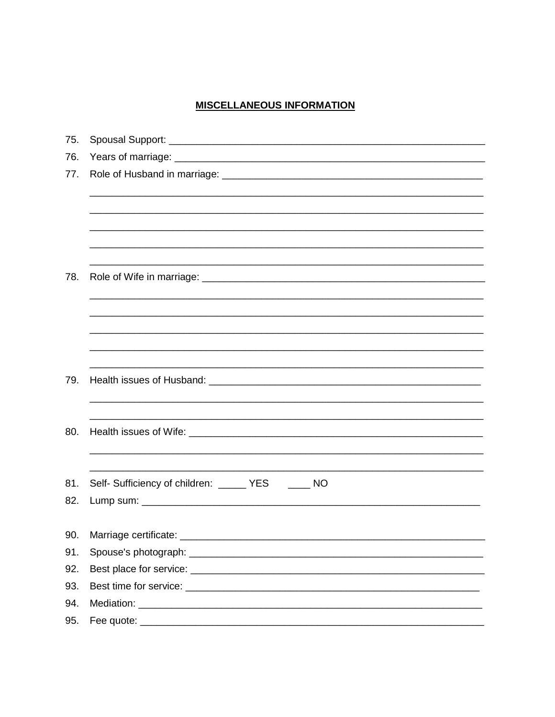#### **MISCELLANEOUS INFORMATION**

| 75. |                                                    |
|-----|----------------------------------------------------|
| 76. |                                                    |
| 77. |                                                    |
|     |                                                    |
|     |                                                    |
|     |                                                    |
|     |                                                    |
|     |                                                    |
| 78. |                                                    |
|     |                                                    |
|     |                                                    |
|     |                                                    |
|     |                                                    |
|     |                                                    |
| 79. |                                                    |
|     |                                                    |
|     |                                                    |
| 80. |                                                    |
|     |                                                    |
|     |                                                    |
| 81. | Self- Sufficiency of children: ______ YES _____ NO |
| 82. |                                                    |
|     |                                                    |
| 90. | Marriage certificate:                              |
| 91. |                                                    |
| 92. |                                                    |
| 93. |                                                    |
| 94. |                                                    |
|     |                                                    |
| 95. |                                                    |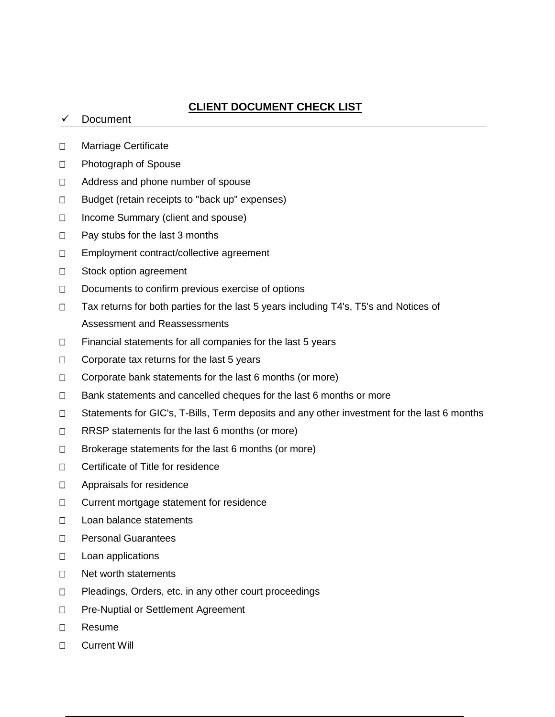### **CLIENT DOCUMENT CHECK LIST**

#### Document

- D Marriage Certificate
- □ Photograph of Spouse
- □ Address and phone number of spouse
- $\Box$  Budget (retain receipts to "back up" expenses)
- □ Income Summary (client and spouse)
- $\Box$  Pay stubs for the last 3 months
- □ Employment contract/collective agreement
- □ Stock option agreement
- $\Box$  Documents to confirm previous exercise of options
- □ Tax returns for both parties for the last 5 years including T4's, T5's and Notices of Assessment and Reassessments
- $\Box$  Financial statements for all companies for the last 5 years
- $\Box$  Corporate tax returns for the last 5 years
- $\Box$  Corporate bank statements for the last 6 months (or more)
- $\Box$  Bank statements and cancelled cheques for the last 6 months or more
- □ Statements for GIC's, T-Bills, Term deposits and any other investment for the last 6 months
- $\Box$  RRSP statements for the last 6 months (or more)
- $\Box$  Brokerage statements for the last 6 months (or more)
- □ Certificate of Title for residence
- □ Appraisals for residence
- □ Current mortgage statement for residence
- □ Loan balance statements
- D Personal Guarantees
- $\Box$  Loan applications
- □ Net worth statements
- $\Box$  Pleadings, Orders, etc. in any other court proceedings
- □ Pre-Nuptial or Settlement Agreement
- Resume
- □ Current Will